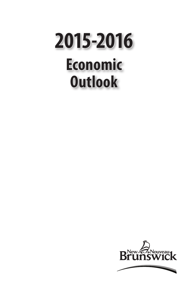# **Economic Outlook 2015-2016**

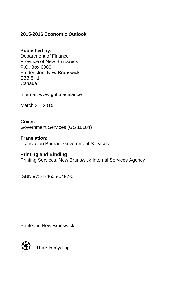## **2015-2016 Economic Outlook**

### **Published by:**

Department of Finance Province of New Brunswick P.O. Box 6000 Fredericton, New Brunswick E3B 5H1 Canada

Internet: www.gnb.ca/finance

March 31, 2015

**Cover:** Government Services (GS 10184)

**Translation:** Translation Bureau, Government Services

#### **Printing and Binding:**

Printing Services, New Brunswick Internal Services Agency

ISBN 978-1-4605-0497-0

Printed in New Brunswick



Think Recycling!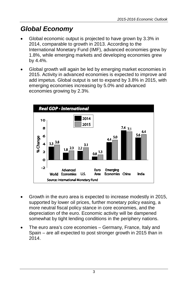# *Global Economy*

- Global economic output is projected to have grown by 3.3% in 2014, comparable to growth in 2013. According to the International Monetary Fund (IMF), advanced economies grew by 1.8%, while emerging markets and developing economies grew by 4.4%.
- Global growth will again be led by emerging market economies in 2015. Activity in advanced economies is expected to improve and add impetus. Global output is set to expand by 3.8% in 2015, with emerging economies increasing by 5.0% and advanced economies growing by 2.3%.



- Growth in the euro area is expected to increase modestly in 2015, supported by lower oil prices, further monetary policy easing, a more neutral fiscal policy stance in core economies, and the depreciation of the euro. Economic activity will be dampened somewhat by tight lending conditions in the periphery nations.
- The euro area's core economies Germany, France, Italy and Spain – are all expected to post stronger growth in 2015 than in 2014.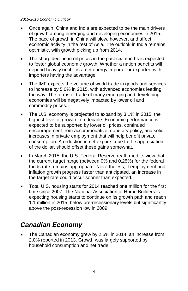- Once again, China and India are expected to be the main drivers of growth among emerging and developing economies in 2015. The pace of growth in China will slow, however, and affect economic activity in the rest of Asia. The outlook in India remains optimistic, with growth picking up from 2014.
- The sharp decline in oil prices in the past six months is expected to foster global economic growth. Whether a nation benefits will depend heavily on if it is a net energy importer or exporter, with importers having the advantage.
- The IMF expects the volume of world trade in goods and services to increase by 5.0% in 2015, with advanced economies leading the way. The terms of trade of many emerging and developing economies will be negatively impacted by lower oil and commodity prices.
- The U.S. economy is projected to expand by 3.1% in 2015, the highest level of growth in a decade. Economic performance is expected to be supported by lower oil prices, continued encouragement from accommodative monetary policy, and solid increases in private employment that will help benefit private consumption. A reduction in net exports, due to the appreciation of the dollar, should offset these gains somewhat.
- In March 2015, the U.S. Federal Reserve reaffirmed its view that the current target range (between 0% and 0.25%) for the federal funds rate remains appropriate. Nevertheless, if employment and inflation growth progress faster than anticipated, an increase in the target rate could occur sooner than expected.
- Total U.S. housing starts for 2014 reached one million for the first time since 2007. The National Association of Home Builders is expecting housing starts to continue on its growth path and reach 1.1 million in 2015, below pre-recessionary levels but significantly above the post-recession low in 2009.

# *Canadian Economy*

The Canadian economy grew by 2.5% in 2014, an increase from 2.0% reported in 2013. Growth was largely supported by household consumption and net trade.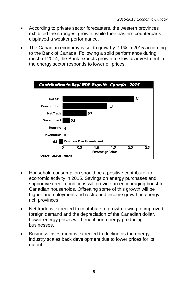- According to private sector forecasters, the western provinces exhibited the strongest growth, while their eastern counterparts displayed a weaker performance.
- The Canadian economy is set to grow by 2.1% in 2015 according to the Bank of Canada. Following a solid performance during much of 2014, the Bank expects growth to slow as investment in the energy sector responds to lower oil prices.



- Household consumption should be a positive contributor to economic activity in 2015. Savings on energy purchases and supportive credit conditions will provide an encouraging boost to Canadian households. Offsetting some of this growth will be higher unemployment and restrained income growth in energyrich provinces.
- Net trade is expected to contribute to growth, owing to improved foreign demand and the depreciation of the Canadian dollar. Lower energy prices will benefit non-energy producing businesses.
- Business investment is expected to decline as the energy industry scales back development due to lower prices for its output.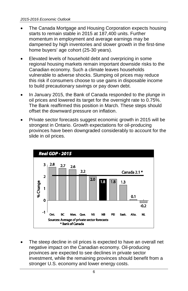- The Canada Mortgage and Housing Corporation expects housing starts to remain stable in 2015 at 187,400 units. Further momentum in employment and average earnings may be dampened by high inventories and slower growth in the first-time home buyers' age cohort (25-30 years).
- Elevated levels of household debt and overpricing in some regional housing markets remain important downside risks to the Canadian economy. Such a climate leaves households vulnerable to adverse shocks. Slumping oil prices may reduce this risk if consumers choose to use gains in disposable income to build precautionary savings or pay down debt.
- In January 2015, the Bank of Canada responded to the plunge in oil prices and lowered its target for the overnight rate to 0.75%. The Bank reaffirmed this position in March. These steps should offset the downward pressure on inflation.
- Private sector forecasts suggest economic growth in 2015 will be strongest in Ontario. Growth expectations for oil-producing provinces have been downgraded considerably to account for the slide in oil prices.



The steep decline in oil prices is expected to have an overall net negative impact on the Canadian economy. Oil-producing provinces are expected to see declines in private sector investment, while the remaining provinces should benefit from a stronger U.S. economy and lower energy costs.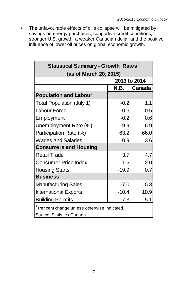• The unfavourable effects of oil's collapse will be mitigated by savings on energy purchases, supportive credit conditions, stronger U.S. growth, a weaker Canadian dollar and the positive influence of lower oil prices on global economic growth.

| (as of March 20, 2015)                                                                 | 2013 to 2014<br>N.B. |        |  |  |  |
|----------------------------------------------------------------------------------------|----------------------|--------|--|--|--|
|                                                                                        |                      |        |  |  |  |
|                                                                                        |                      |        |  |  |  |
|                                                                                        |                      | Canada |  |  |  |
| <b>Population and Labour</b>                                                           |                      |        |  |  |  |
| <b>Total Population (July 1)</b>                                                       | $-0.2$               | 1.1    |  |  |  |
| Labour Force                                                                           | $-0.6$               | 0.5    |  |  |  |
| Employment                                                                             | $-0.2$               | 0.6    |  |  |  |
| Unemployment Rate (%)                                                                  | 9.9                  | 6.9    |  |  |  |
| Participation Rate (%)                                                                 | 63.2                 | 66.0   |  |  |  |
| <b>Wages and Salaries</b>                                                              | 0.9                  | 3.6    |  |  |  |
| <b>Consumers and Housing</b>                                                           |                      |        |  |  |  |
| <b>Retail Trade</b>                                                                    | 3.7                  | 4.7    |  |  |  |
| <b>Consumer Price Index</b>                                                            | 1.5                  | 2.0    |  |  |  |
| <b>Housing Starts</b>                                                                  | $-19.9$              | 0.7    |  |  |  |
| <b>Business</b>                                                                        |                      |        |  |  |  |
| <b>Manufacturing Sales</b>                                                             | $-7.0$               | 5.3    |  |  |  |
| <b>International Exports</b>                                                           | $-10.4$              | 10.9   |  |  |  |
| <b>Building Permits</b>                                                                | $-17.3$              | 5.1    |  |  |  |
| <sup>1</sup> Per cent change unless otherwise indicated.<br>Source: Statistics Canada. |                      |        |  |  |  |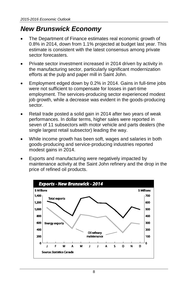## *New Brunswick Economy*

- The Department of Finance estimates real economic growth of 0.8% in 2014, down from 1.1% projected at budget last year. This estimate is consistent with the latest consensus among private sector forecasters.
- Private sector investment increased in 2014 driven by activity in the manufacturing sector, particularly significant modernization efforts at the pulp and paper mill in Saint John.
- Employment edged down by 0.2% in 2014. Gains in full-time jobs were not sufficient to compensate for losses in part-time employment. The services-producing sector experienced modest iob growth, while a decrease was evident in the goods-producing sector.
- Retail trade posted a solid gain in 2014 after two years of weak performances. In dollar terms, higher sales were reported in seven of 11 subsectors with motor vehicle and parts dealers (the single largest retail subsector) leading the way.
- While income growth has been soft, wages and salaries in both goods-producing and service-producing industries reported modest gains in 2014.
- Exports and manufacturing were negatively impacted by maintenance activity at the Saint John refinery and the drop in the price of refined oil products.

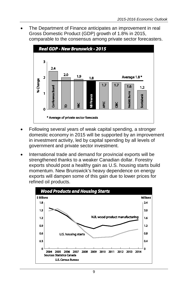• The Department of Finance anticipates an improvement in real Gross Domestic Product (GDP) growth of 1.8% in 2015, comparable to the consensus among private sector forecasters.



- Following several years of weak capital spending, a stronger domestic economy in 2015 will be supported by an improvement in investment activity, led by capital spending by all levels of government and private sector investment.
- International trade and demand for provincial exports will be strengthened thanks to a weaker Canadian dollar. Forestry exports should post a healthy gain as U.S. housing starts build momentum. New Brunswick's heavy dependence on energy exports will dampen some of this gain due to lower prices for refined oil products.

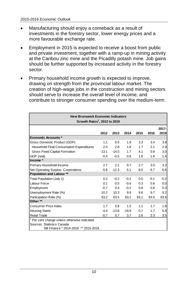- Manufacturing should enjoy a comeback as a result of investments in the forestry sector, lower energy prices and a more favourable exchange rate.
- Employment in 2015 is expected to receive a boost from public and private investment, together with a ramp-up in mining activity at the Caribou zinc mine and the Picadilly potash mine. Job gains should be further supported by increased activity in the forestry sector.
- Primary household income growth is expected to improve, drawing on strength from the provincial labour market. The creation of high-wage jobs in the construction and mining sectors should serve to increase the overall level of income, and contribute to stronger consumer spending over the medium-term.

| <b>New Brunswick Economic Indicators</b><br>Growth Rates <sup>1</sup> , 2012 to 2019 |         |         |         |      |        |               |  |  |
|--------------------------------------------------------------------------------------|---------|---------|---------|------|--------|---------------|--|--|
|                                                                                      | 2012    | 2013    | 2014    | 2015 | 2016   | 2017-<br>2019 |  |  |
| <b>Economic Accounts *</b>                                                           |         |         |         |      |        |               |  |  |
| Gross Domestic Product (GDP)                                                         | 1.1     | 0.5     | 1.9     | 3.3  | 3.4    | 3.8           |  |  |
| Household Final Consumption Expenditures                                             | 2.0     | 2.8     | 1.6     | 1.7  | 2.1    | 2.9           |  |  |
| Gross Fixed Capital Formation                                                        | $-13.1$ | $-14.5$ | 1.7     | 4.1  | 0.9    | 3.0           |  |  |
| GDP (real)                                                                           | $-0.4$  | $-0.5$  | 0.8     | 1.8  | 1.6    | 1.4           |  |  |
| Income *                                                                             |         |         |         |      |        |               |  |  |
| Primary Household Income                                                             | 2.7     | 2.1     | 0.7     | 2.7  | 3.0    | 3.2           |  |  |
| Net Operating Surplus: Corporations                                                  | $-5.8$  | $-12.3$ | 5.1     | 8.0  | 6.7    | 6.6           |  |  |
| Population and Labour **                                                             |         |         |         |      |        |               |  |  |
| Total Population (July 1)                                                            | 0.2     | $-0.2$  | $-0.2$  | 0.0  | $-0.1$ | $-0.2$        |  |  |
| Labour Force                                                                         | 0.1     | 0.5     | $-0.6$  | 0.3  | 0.6    | 0.0           |  |  |
| Employment                                                                           | $-0.7$  | 0.4     | $-0.2$  | 0.8  | 0.6    | 0.3           |  |  |
| Unemployment Rate (%)                                                                | 10.2    | 10.3    | 9.9     | 9.6  | 9.7    | 9.2           |  |  |
| Participation Rate (%)                                                               | 63.2    | 63.5    | 63.2    | 63.1 | 63.5   | 63.6          |  |  |
| Other **                                                                             |         |         |         |      |        |               |  |  |
| <b>Consumer Price Index</b>                                                          | 1.7     | 0.8     | 1.5     | 1.1  | 1.7    | 1.8           |  |  |
| <b>Housing Starts</b>                                                                | $-4.4$  | $-13.8$ | $-19.9$ | 0.7  | 1.7    | 0.8           |  |  |
| <b>Retail Trade</b>                                                                  | $-0.7$  | 0.7     | 3.7     | 2.6  | 3.3    | 3.5           |  |  |
| Per cent change unless otherwise indicated.                                          |         |         |         |      |        |               |  |  |
| Sources: Statistics Canada.<br>NB Finance * 2014-2019 ** 2015-2019.                  |         |         |         |      |        |               |  |  |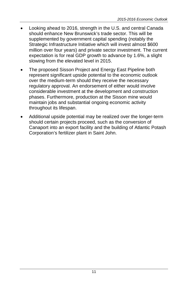- Looking ahead to 2016, strength in the U.S. and central Canada should enhance New Brunswick's trade sector. This will be supplemented by government capital spending (notably the Strategic Infrastructure Initiative which will invest almost \$600 million over four years) and private sector investment. The current expectation is for real GDP growth to advance by 1.6%, a slight slowing from the elevated level in 2015.
- The proposed Sisson Project and Energy East Pipeline both represent significant upside potential to the economic outlook over the medium-term should they receive the necessary regulatory approval. An endorsement of either would involve considerable investment at the development and construction phases. Furthermore, production at the Sisson mine would maintain jobs and substantial ongoing economic activity throughout its lifespan.
- Additional upside potential may be realized over the longer-term should certain projects proceed, such as the conversion of Canaport into an export facility and the building of Atlantic Potash Corporation's fertilizer plant in Saint John.